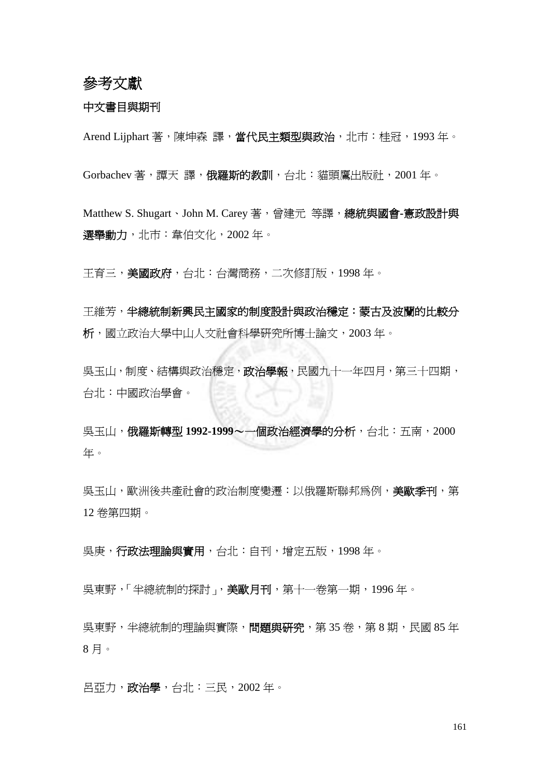## 參考文獻

## 中文書目與期刊

Arend Lijphart 著,陳坤森 譯,當代民主類型與政治,北市:桂冠,1993年。

Gorbachev 著, 譚天 譯, 俄羅斯的教訓, 台北: 貓頭鷹出版社, 2001年。

Matthew S. Shugart、John M. Carey 著,曾建元 等譯,總統與國會**-**憲政設計與 選舉動力,北市:韋伯文化,2002年。

王育三,美國政府,台北:台灣商務,二次修訂版,1998年。

王維芳,半總統制新興民主國家的制度設計與政治穩定:蒙古及波蘭的比較分 析,國立政治大學中山人文社會科學研究所博士論文,2003 年。

具玉山,制度、結構與政治穩定,政治學報,民國九十一年四月,第三十四期, 台北:中國政治學會。

吳玉山,俄羅斯轉型 **1992-1999**~一個政治經濟學的分析,台北:五南,2000 年。

具玉山,歐洲後共產社會的政治制度變遷:以俄羅斯聯邦為例,美歐季刊,第 12 卷第四期。

吳庚,行政法理論與實用,台北:自刊,增定五版,1998 年。

吳東野,「半總統制的探討」,美歐月刊,第十一卷第一期,1996年。

吳東野,半總統制的理論與實際,問題與研究,第 35 卷,第 8 期,民國 85 年 8 月。

呂亞力,政治學,台北:三民,2002 年。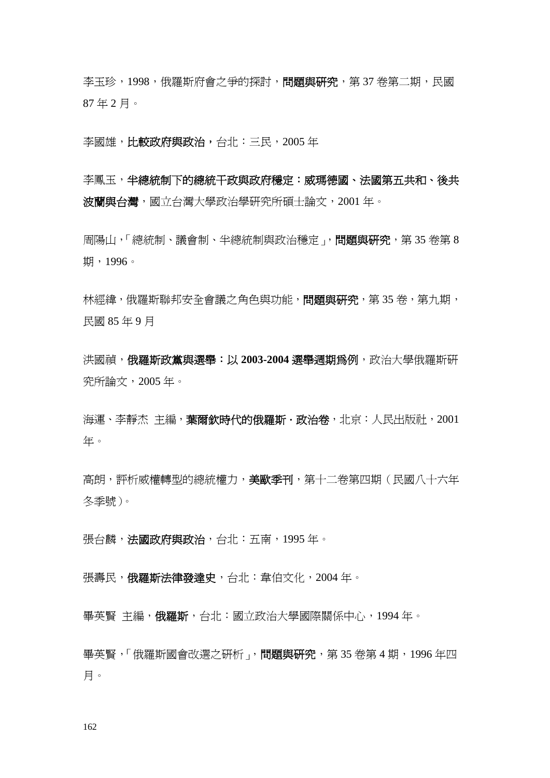李玉珍,1998,俄羅斯府會之爭的探討,問題與研究,第 37 卷第二期,民國 87 年 2 月。

李國雄,比較政府與政治,台北:三民,2005 年

李鳳玉,半總統制下的總統干政與政府穩定:威瑪德國、法國第五共和、後共 波蘭與台灣,國立台灣大學政治學研究所碩士論文,2001 年。

周陽山,「總統制、議會制、半總統制與政治穩定」,問題與研究,第 35 卷第 8 期,1996。

林經緯,俄羅斯聯邦安全會議之角色與功能,問題與研究,第 35 卷,第九期, 民國 85 年 9 月

洪國禎,俄羅斯政黨與選舉:以 **2003-2004** 選舉週期為例,政治大學俄羅斯研 究所論文,2005 年。

海運、李靜杰 主編,**葉爾欽時代的俄羅斯·政治卷**,北京:人民出版社,2001 年。

高朗,評析威權轉型的總統權力,美歐季刊,第十二卷第四期(民國八十六年 冬季號)。

張台麟,法國政府與政治,台北:五南,1995年。

張壽民,俄羅斯法律發達史,台北:韋伯文化,2004年。

畢英賢 主編,俄羅斯,台北:國立政治大學國際關係中心,1994年。

畢英賢,「俄羅斯國會改選之研析」,問題與研究,第 35 卷第 4 期, 1996 年四 月。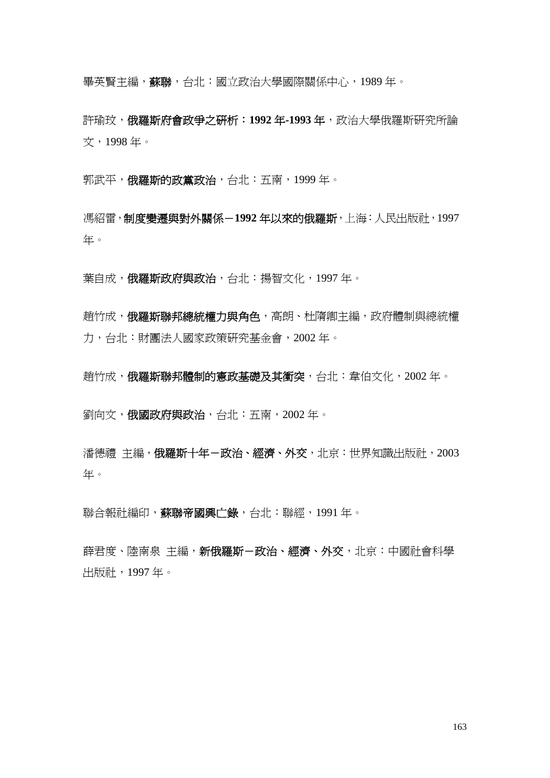畢英賢主編,蘇聯,台北:國立政治大學國際關係中心,1989 年。

許瑜玟,俄羅斯府會政爭之研析:**1992** 年**-1993** 年,政治大學俄羅斯研究所論 文,1998 年。

郭武平,俄羅斯的政黨政治,台北:五南,1999年。

馮紹雷,制度變遷與對外關係-**1992** 年以來的俄羅斯,上海:人民出版社,1997 年。

葉自成,俄羅斯政府與政治,台北:揚智文化,1997年。

趙竹成,俄羅斯聯邦總統權力與角色,高朗、杜隋卿主編,政府體制與總統權 力,台北:財團法人國家政策研究基金會,2002 年。

趙竹成,俄羅斯聯邦體制的憲政基礎及其衝突,台北:韋伯文化,2002年。

劉向文,俄國政府與政治,台北:五南,2002 年。

潘德禮 主編,俄羅斯十年-政治、經濟、外交,北京:世界知識出版社,2003 年。

聯合報社編印,蘇聯帝國興亡錄,台北:聯經,1991年。

薛君度、陸南泉 主編,新俄羅斯-政治、經濟、外交,北京:中國社會科學 出版社,1997 年。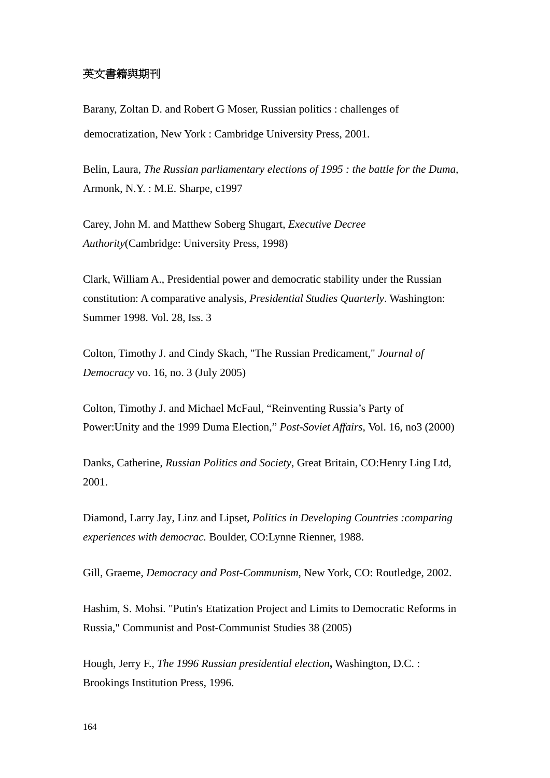## 英文書籍與期刊

[Barany, Zoltan D.](http://140.119.115.1/search*cht/aBarany%2C+Zoltan+D/abarany+zoltan+d/-2,-1,0,B/browse) and Robert G Moser, Russian politics : challenges of democratization, New York : Cambridge University Press, 2001.

Belin, Laura, *[T](http://140.119.115.1/search*cht/aBelin%2C+Laura%2C+1969-/abelin+laura+1969/-2,-1,0,B/browse)he Russian parliamentary elections of 1995 : the battle for the Duma,* Armonk, N.Y. : M.E. Sharpe, c1997

Carey, John M. and Matthew Soberg Shugart, *Executive Decree Authority*(Cambridge: University Press, 1998)

Clark, William A., Presidential power and democratic stability under the Russian constitution: A comparative analysis, *Presidential Studies Quarterly*. Washington: Summer 1998. Vol. 28, Iss. 3

Colton, Timothy J. and Cindy Skach, "The Russian Predicament," *Journal of Democracy* vo. 16, no. 3 (July 2005)

Colton, Timothy J. and Michael McFaul, "Reinventing Russia's Party of Power:Unity and the 1999 Duma Election," *Post-Soviet Affairs,* Vol. 16, no3 (2000)

Danks, Catherine, *Russian Politics and Society*, Great Britain, CO:Henry Ling Ltd, 2001.

[Diamond, Larry Jay](http://140.119.115.1/search*cht/aDiamond%2C+Larry+Jay/adiamond+larry+jay/-2,-1,0,B/browse), Linz and Lipset, *Politics in Developing Countries :comparing experiences with democrac.* Boulder, CO:Lynne Rienner, 1988.

Gill, Graeme, *Democracy and Post-Communism*, New York, CO: Routledge, 2002.

Hashim, S. Mohsi. "Putin's Etatization Project and Limits to Democratic Reforms in Russia," Communist and Post-Communist Studies 38 (2005)

[Hough,](http://140.119.115.1/search*cht/aHough%2C+Jerry+F.%2C+1935-/ahough+jerry+f+1935/-2,-1,0,B/browse) Jerry F., *The 1996 Russian presidential election***,** Washington, D.C. : Brookings Institution Press, 1996.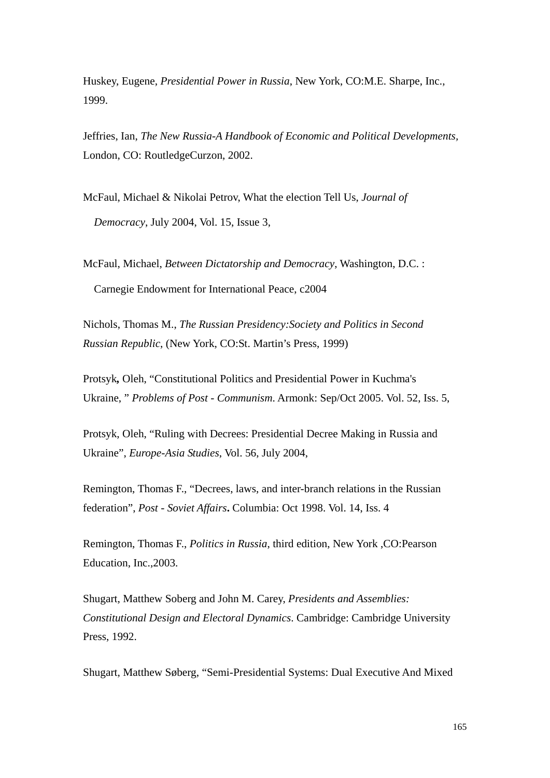Huskey, Eugene, *Presidential Power in Russia*, New York, CO:M.E. Sharpe, Inc., 1999.

Jeffries, Ian, *The New Russia-A Handbook of Economic and Political Developments,*  London, CO: RoutledgeCurzon, 2002.

McFaul, Michael & Nikolai Petrov, What the election Tell Us, *Journal of Democracy*, July 2004, Vol. 15, Issue 3,

McFaul, Michael, *Between Dictatorship and Democracy*, Washington, D.C. : Carnegie Endowment for International Peace, c2004

Nichols, Thomas M., *The Russian Presidency:Society and Politics in Second Russian Republic*, (New York, CO:St. Martin's Press, 1999)

Protsyk*,* Oleh, ["Constitutional Politics and Presidential Power in Kuchma's](http://proquest.umi.com/pqdweb?index=0&did=912273321&SrchMode=1&sid=1&Fmt=2&VInst=PROD&VType=PQD&RQT=309&VName=PQD&TS=1143389938&clientId=17319)  [Ukraine,](http://proquest.umi.com/pqdweb?index=0&did=912273321&SrchMode=1&sid=1&Fmt=2&VInst=PROD&VType=PQD&RQT=309&VName=PQD&TS=1143389938&clientId=17319) " *Problems of Post - Communism*. Armonk: Sep/Oct 2005. Vol. 52, Iss. 5,

Protsyk, Oleh, "Ruling with Decrees: Presidential Decree Making in Russia and Ukraine", *Europe-Asia Studies*, Vol. 56, July 2004,

Remington, Thomas F., "[Decrees, laws, and inter-branch relations in the Russian](http://proquest.umi.com/pqdweb?index=45&did=37796004&SrchMode=1&sid=3&Fmt=2&VInst=PROD&VType=PQD&RQT=309&VName=PQD&TS=1143390338&clientId=17319)  [federation"](http://proquest.umi.com/pqdweb?index=45&did=37796004&SrchMode=1&sid=3&Fmt=2&VInst=PROD&VType=PQD&RQT=309&VName=PQD&TS=1143390338&clientId=17319), *Post - Soviet Affairs***.** Columbia: Oct 1998. Vol. 14, Iss. 4

Remington, Thomas F., *Politics in Russia*, third edition, New York ,CO:Pearson Education, Inc.,2003.

Shugart, Matthew Soberg and John M. Carey, *Presidents and Assemblies: Constitutional Design and Electoral Dynamics*. Cambridge: Cambridge University Press, 1992.

Shugart, Matthew Søberg, "[Semi-Presidential Systems: Dual Executive And Mixed](http://proquest.umi.com/pqdweb?index=47&did=987162471&SrchMode=1&sid=4&Fmt=2&VInst=PROD&VType=PQD&RQT=309&VName=PQD&TS=1143391685&clientId=17319)